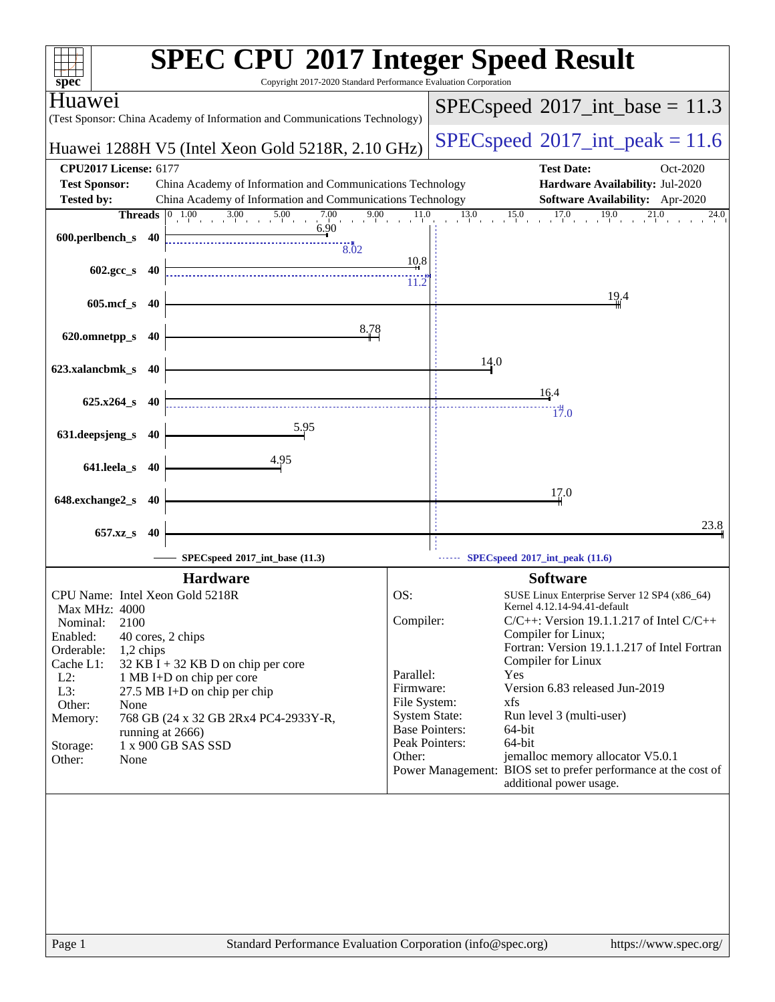|                                                          | <b>SPEC CPU®2017 Integer Speed Result</b>                                                                    |                                      |                                                                      |
|----------------------------------------------------------|--------------------------------------------------------------------------------------------------------------|--------------------------------------|----------------------------------------------------------------------|
| $sp\overline{ec}$                                        | Copyright 2017-2020 Standard Performance Evaluation Corporation                                              |                                      |                                                                      |
| Huawei                                                   | (Test Sponsor: China Academy of Information and Communications Technology)                                   |                                      | $SPEC speed^{\circ}2017\_int\_base = 11.3$                           |
|                                                          | Huawei 1288H V5 (Intel Xeon Gold 5218R, 2.10 GHz)                                                            |                                      | $SPEC speed^{\circ}2017\_int\_peak = 11.6$                           |
| <b>CPU2017 License: 6177</b>                             |                                                                                                              |                                      | <b>Test Date:</b><br>Oct-2020                                        |
| <b>Test Sponsor:</b>                                     | China Academy of Information and Communications Technology                                                   |                                      | Hardware Availability: Jul-2020                                      |
| <b>Tested by:</b>                                        | China Academy of Information and Communications Technology                                                   |                                      | Software Availability: Apr-2020                                      |
|                                                          | <b>Threads</b> $\begin{array}{ c c c c } \hline 0 & 1.00 & 3.00 & 5.00 \ \hline \end{array}$<br>7.00<br>9.00 | 11.0                                 | 13.0<br>15.0<br>17.0<br>19.0<br>21.0<br>24.0                         |
|                                                          | 6.90                                                                                                         |                                      |                                                                      |
| 600.perlbench_s 40                                       | 8.02                                                                                                         |                                      |                                                                      |
|                                                          |                                                                                                              | 10.8                                 |                                                                      |
| $602 \text{.} \text{gcc}\_\text{s}$<br>- 40              |                                                                                                              | 11.2                                 |                                                                      |
|                                                          |                                                                                                              |                                      | 19.4                                                                 |
| $605$ .mcf_s<br>-40                                      |                                                                                                              |                                      |                                                                      |
|                                                          | 8.78                                                                                                         |                                      |                                                                      |
| 620.omnetpp_s<br>40                                      |                                                                                                              |                                      |                                                                      |
|                                                          |                                                                                                              |                                      | 14.0                                                                 |
| 623.xalancbmk_s<br>-40                                   |                                                                                                              |                                      |                                                                      |
|                                                          |                                                                                                              |                                      | 16.4                                                                 |
| $625.x264$ s 40                                          |                                                                                                              |                                      | 17.0                                                                 |
|                                                          | 5.95                                                                                                         |                                      |                                                                      |
| 631.deepsjeng_s<br>-40                                   |                                                                                                              |                                      |                                                                      |
|                                                          | 4.95                                                                                                         |                                      |                                                                      |
| 641.leela_s 40                                           |                                                                                                              |                                      |                                                                      |
|                                                          |                                                                                                              |                                      | 17.0                                                                 |
| 648.exchange2_s<br>40                                    |                                                                                                              |                                      |                                                                      |
| 657.xz_s<br>40                                           |                                                                                                              |                                      | 23.8                                                                 |
|                                                          |                                                                                                              |                                      |                                                                      |
|                                                          | SPECspeed®2017_int_base (11.3)                                                                               |                                      | SPECspeed <sup>®</sup> 2017_int_peak (11.6)                          |
|                                                          | <b>Hardware</b>                                                                                              |                                      | <b>Software</b>                                                      |
| CPU Name: Intel Xeon Gold 5218R                          |                                                                                                              | OS:                                  | SUSE Linux Enterprise Server 12 SP4 (x86_64)                         |
| Max MHz: 4000                                            |                                                                                                              |                                      | Kernel 4.12.14-94.41-default                                         |
| Nominal:<br>2100                                         |                                                                                                              | Compiler:                            | $C/C++$ : Version 19.1.1.217 of Intel $C/C++$<br>Compiler for Linux; |
| Enabled:<br>40 cores, 2 chips<br>Orderable:<br>1,2 chips |                                                                                                              |                                      | Fortran: Version 19.1.1.217 of Intel Fortran                         |
| Cache L1:                                                | $32$ KB I + 32 KB D on chip per core                                                                         |                                      | Compiler for Linux                                                   |
| $L2$ :                                                   | 1 MB I+D on chip per core                                                                                    | Parallel:                            | Yes                                                                  |
| L3:                                                      | 27.5 MB I+D on chip per chip                                                                                 | Firmware:                            | Version 6.83 released Jun-2019                                       |
| Other:<br>None                                           |                                                                                                              | File System:<br><b>System State:</b> | xfs<br>Run level 3 (multi-user)                                      |
| Memory:<br>running at 2666)                              | 768 GB (24 x 32 GB 2Rx4 PC4-2933Y-R,                                                                         | <b>Base Pointers:</b>                | 64-bit                                                               |
| Storage:                                                 | 1 x 900 GB SAS SSD                                                                                           | Peak Pointers:                       | 64-bit                                                               |
| Other:<br>None                                           |                                                                                                              | Other:                               | jemalloc memory allocator V5.0.1                                     |
|                                                          |                                                                                                              |                                      | Power Management: BIOS set to prefer performance at the cost of      |
|                                                          |                                                                                                              |                                      | additional power usage.                                              |
|                                                          |                                                                                                              |                                      |                                                                      |
|                                                          |                                                                                                              |                                      |                                                                      |
|                                                          |                                                                                                              |                                      |                                                                      |
|                                                          |                                                                                                              |                                      |                                                                      |
|                                                          |                                                                                                              |                                      |                                                                      |
|                                                          |                                                                                                              |                                      |                                                                      |
|                                                          |                                                                                                              |                                      |                                                                      |
|                                                          |                                                                                                              |                                      |                                                                      |
| Page 1                                                   | Standard Performance Evaluation Corporation (info@spec.org)                                                  |                                      | https://www.spec.org/                                                |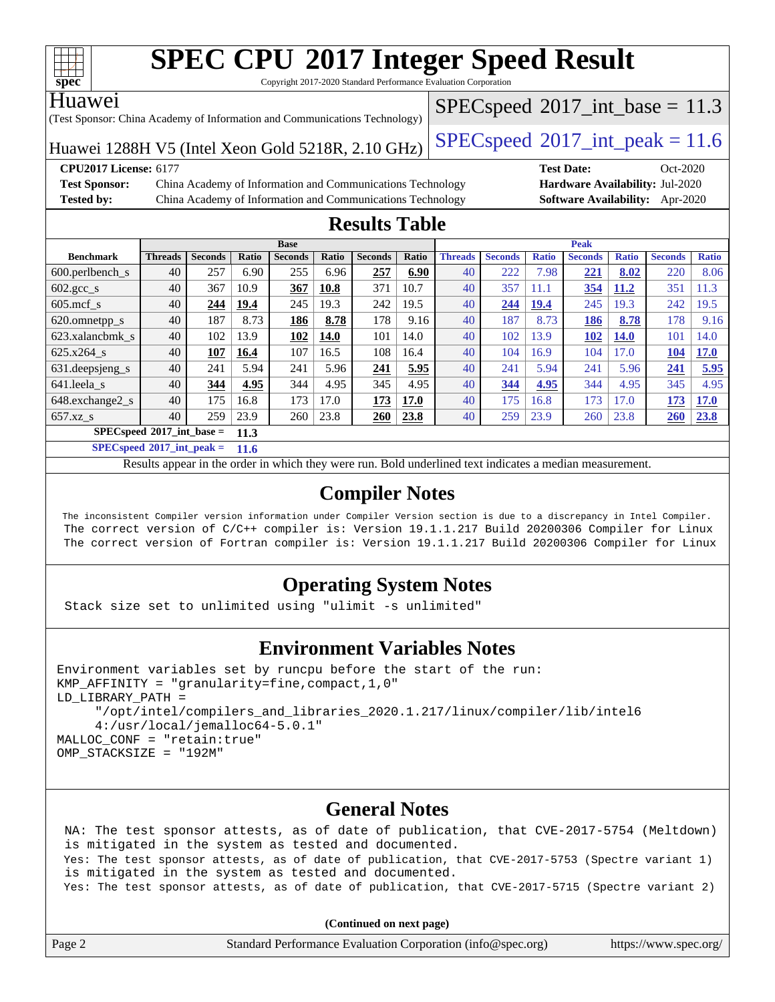

Copyright 2017-2020 Standard Performance Evaluation Corporation

#### Huawei

(Test Sponsor: China Academy of Information and Communications Technology)

 $SPECspeed^{\circ}2017\_int\_base = 11.3$  $SPECspeed^{\circ}2017\_int\_base = 11.3$ 

Huawei 1288H V5 (Intel Xeon Gold 5218R, 2.10 GHz) [SPECspeed](http://www.spec.org/auto/cpu2017/Docs/result-fields.html#SPECspeed2017intpeak)®2017\_int\_peak =  $11.6$ 

**[Test Sponsor:](http://www.spec.org/auto/cpu2017/Docs/result-fields.html#TestSponsor)** China Academy of Information and Communications Technology **[Hardware Availability:](http://www.spec.org/auto/cpu2017/Docs/result-fields.html#HardwareAvailability)** Jul-2020 **[Tested by:](http://www.spec.org/auto/cpu2017/Docs/result-fields.html#Testedby)** China Academy of Information and Communications Technology **[Software Availability:](http://www.spec.org/auto/cpu2017/Docs/result-fields.html#SoftwareAvailability)** Apr-2020

**[CPU2017 License:](http://www.spec.org/auto/cpu2017/Docs/result-fields.html#CPU2017License)** 6177 **[Test Date:](http://www.spec.org/auto/cpu2017/Docs/result-fields.html#TestDate)** Oct-2020

### **[Results Table](http://www.spec.org/auto/cpu2017/Docs/result-fields.html#ResultsTable)**

| <b>Base</b>                                |                |                |       |                |       |                | <b>Peak</b> |                |                |              |                |              |                |              |
|--------------------------------------------|----------------|----------------|-------|----------------|-------|----------------|-------------|----------------|----------------|--------------|----------------|--------------|----------------|--------------|
| <b>Benchmark</b>                           | <b>Threads</b> | <b>Seconds</b> | Ratio | <b>Seconds</b> | Ratio | <b>Seconds</b> | Ratio       | <b>Threads</b> | <b>Seconds</b> | <b>Ratio</b> | <b>Seconds</b> | <b>Ratio</b> | <b>Seconds</b> | <b>Ratio</b> |
| $600.$ perlbench $\mathsf{S}$              | 40             | 257            | 6.90  | 255            | 6.96  | 257            | 6.90        | 40             | 222            | 7.98         | 221            | 8.02         | 220            | 8.06         |
| $602.\text{gcc}\_\text{s}$                 | 40             | 367            | 10.9  | 367            | 10.8  | 371            | 10.7        | 40             | 357            | 11.1         | 354            | 11.2         | 351            | 11.3         |
| $605$ .mcf s                               | 40             | 244            | 19.4  | 245            | 19.3  | 242            | 19.5        | 40             | 244            | 19.4         | 245            | 19.3         | 242            | 19.5         |
| 620.omnetpp_s                              | 40             | 187            | 8.73  | 186            | 8.78  | 178            | 9.16        | 40             | 187            | 8.73         | 186            | 8.78         | 178            | 9.16         |
| 623.xalancbmk s                            | 40             | 102            | 13.9  | 102            | 14.0  | 101            | 14.0        | 40             | 102            | 13.9         | 102            | <b>14.0</b>  | 101            | 14.0         |
| 625.x264 s                                 | 40             | 107            | 16.4  | 107            | 16.5  | 108            | 16.4        | 40             | 104            | 16.9         | 104            | 17.0         | 104            | <b>17.0</b>  |
| 631.deepsjeng_s                            | 40             | 241            | 5.94  | 241            | 5.96  | 241            | 5.95        | 40             | 241            | 5.94         | 241            | 5.96         | 241            | 5.95         |
| 641.leela s                                | 40             | 344            | 4.95  | 344            | 4.95  | 345            | 4.95        | 40             | 344            | 4.95         | 344            | 4.95         | 345            | 4.95         |
| 648.exchange2_s                            | 40             | 175            | 16.8  | 173            | 17.0  | 173            | 17.0        | 40             | 175            | 16.8         | 173            | 17.0         | 173            | <b>17.0</b>  |
| $657.xz$ s                                 | 40             | 259            | 23.9  | 260            | 23.8  | 260            | 23.8        | 40             | 259            | 23.9         | 260            | 23.8         | 260            | 23.8         |
| $SPECspeed^{\circ}2017$ int base =<br>11.3 |                |                |       |                |       |                |             |                |                |              |                |              |                |              |

**[SPECspeed](http://www.spec.org/auto/cpu2017/Docs/result-fields.html#SPECspeed2017intpeak)[2017\\_int\\_peak =](http://www.spec.org/auto/cpu2017/Docs/result-fields.html#SPECspeed2017intpeak) 11.6**

Results appear in the [order in which they were run.](http://www.spec.org/auto/cpu2017/Docs/result-fields.html#RunOrder) Bold underlined text [indicates a median measurement](http://www.spec.org/auto/cpu2017/Docs/result-fields.html#Median).

### **[Compiler Notes](http://www.spec.org/auto/cpu2017/Docs/result-fields.html#CompilerNotes)**

 The inconsistent Compiler version information under Compiler Version section is due to a discrepancy in Intel Compiler. The correct version of C/C++ compiler is: Version 19.1.1.217 Build 20200306 Compiler for Linux The correct version of Fortran compiler is: Version 19.1.1.217 Build 20200306 Compiler for Linux

### **[Operating System Notes](http://www.spec.org/auto/cpu2017/Docs/result-fields.html#OperatingSystemNotes)**

Stack size set to unlimited using "ulimit -s unlimited"

#### **[Environment Variables Notes](http://www.spec.org/auto/cpu2017/Docs/result-fields.html#EnvironmentVariablesNotes)**

```
Environment variables set by runcpu before the start of the run:
KMP AFFINITY = "granularity=fine, compact, 1,0"
LD_LIBRARY_PATH =
      "/opt/intel/compilers_and_libraries_2020.1.217/linux/compiler/lib/intel6
      4:/usr/local/jemalloc64-5.0.1"
MALLOC_CONF = "retain:true"
OMP_STACKSIZE = "192M"
```
### **[General Notes](http://www.spec.org/auto/cpu2017/Docs/result-fields.html#GeneralNotes)**

 NA: The test sponsor attests, as of date of publication, that CVE-2017-5754 (Meltdown) is mitigated in the system as tested and documented. Yes: The test sponsor attests, as of date of publication, that CVE-2017-5753 (Spectre variant 1) is mitigated in the system as tested and documented. Yes: The test sponsor attests, as of date of publication, that CVE-2017-5715 (Spectre variant 2)

**(Continued on next page)**

| Page 2 | Standard Performance Evaluation Corporation (info@spec.org) | https://www.spec.org/ |
|--------|-------------------------------------------------------------|-----------------------|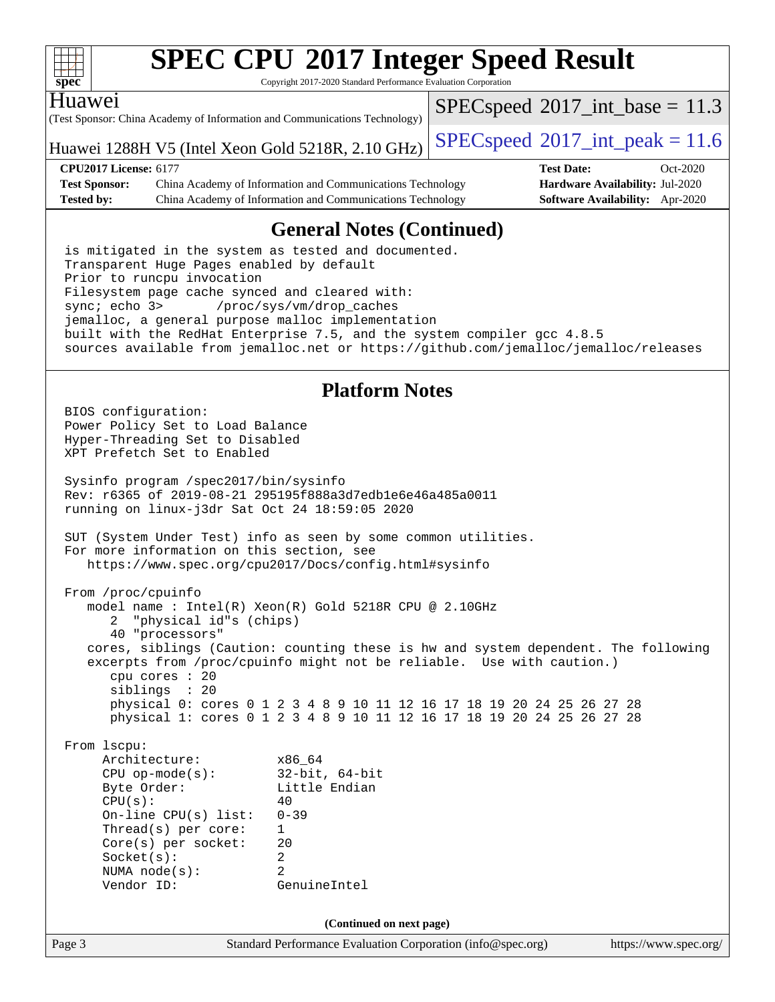

Copyright 2017-2020 Standard Performance Evaluation Corporation

#### Huawei

(Test Sponsor: China Academy of Information and Communications Technology)

 $SPECspeed^{\circ}2017\_int\_base = 11.3$  $SPECspeed^{\circ}2017\_int\_base = 11.3$ 

Huawei 1288H V5 (Intel Xeon Gold 5218R, 2.10 GHz) [SPECspeed](http://www.spec.org/auto/cpu2017/Docs/result-fields.html#SPECspeed2017intpeak)®2017\_int\_peak =  $11.6$ 

**[CPU2017 License:](http://www.spec.org/auto/cpu2017/Docs/result-fields.html#CPU2017License)** 6177 **[Test Date:](http://www.spec.org/auto/cpu2017/Docs/result-fields.html#TestDate)** Oct-2020 **[Test Sponsor:](http://www.spec.org/auto/cpu2017/Docs/result-fields.html#TestSponsor)** China Academy of Information and Communications Technology **[Hardware Availability:](http://www.spec.org/auto/cpu2017/Docs/result-fields.html#HardwareAvailability)** Jul-2020 **[Tested by:](http://www.spec.org/auto/cpu2017/Docs/result-fields.html#Testedby)** China Academy of Information and Communications Technology **[Software Availability:](http://www.spec.org/auto/cpu2017/Docs/result-fields.html#SoftwareAvailability)** Apr-2020

### **[General Notes \(Continued\)](http://www.spec.org/auto/cpu2017/Docs/result-fields.html#GeneralNotes)**

 is mitigated in the system as tested and documented. Transparent Huge Pages enabled by default Prior to runcpu invocation Filesystem page cache synced and cleared with: sync; echo 3> /proc/sys/vm/drop\_caches jemalloc, a general purpose malloc implementation built with the RedHat Enterprise 7.5, and the system compiler gcc 4.8.5 sources available from jemalloc.net or <https://github.com/jemalloc/jemalloc/releases>

### **[Platform Notes](http://www.spec.org/auto/cpu2017/Docs/result-fields.html#PlatformNotes)**

Page 3 Standard Performance Evaluation Corporation [\(info@spec.org\)](mailto:info@spec.org) <https://www.spec.org/> BIOS configuration: Power Policy Set to Load Balance Hyper-Threading Set to Disabled XPT Prefetch Set to Enabled Sysinfo program /spec2017/bin/sysinfo Rev: r6365 of 2019-08-21 295195f888a3d7edb1e6e46a485a0011 running on linux-j3dr Sat Oct 24 18:59:05 2020 SUT (System Under Test) info as seen by some common utilities. For more information on this section, see <https://www.spec.org/cpu2017/Docs/config.html#sysinfo> From /proc/cpuinfo model name : Intel(R) Xeon(R) Gold 5218R CPU @ 2.10GHz 2 "physical id"s (chips) 40 "processors" cores, siblings (Caution: counting these is hw and system dependent. The following excerpts from /proc/cpuinfo might not be reliable. Use with caution.) cpu cores : 20 siblings : 20 physical 0: cores 0 1 2 3 4 8 9 10 11 12 16 17 18 19 20 24 25 26 27 28 physical 1: cores 0 1 2 3 4 8 9 10 11 12 16 17 18 19 20 24 25 26 27 28 From lscpu: Architecture: x86\_64 CPU op-mode(s): 32-bit, 64-bit Byte Order: Little Endian  $CPU(s):$  40 On-line CPU(s) list: 0-39 Thread(s) per core: 1 Core(s) per socket: 20 Socket(s): 2 NUMA node(s): 2 Vendor ID: GenuineIntel **(Continued on next page)**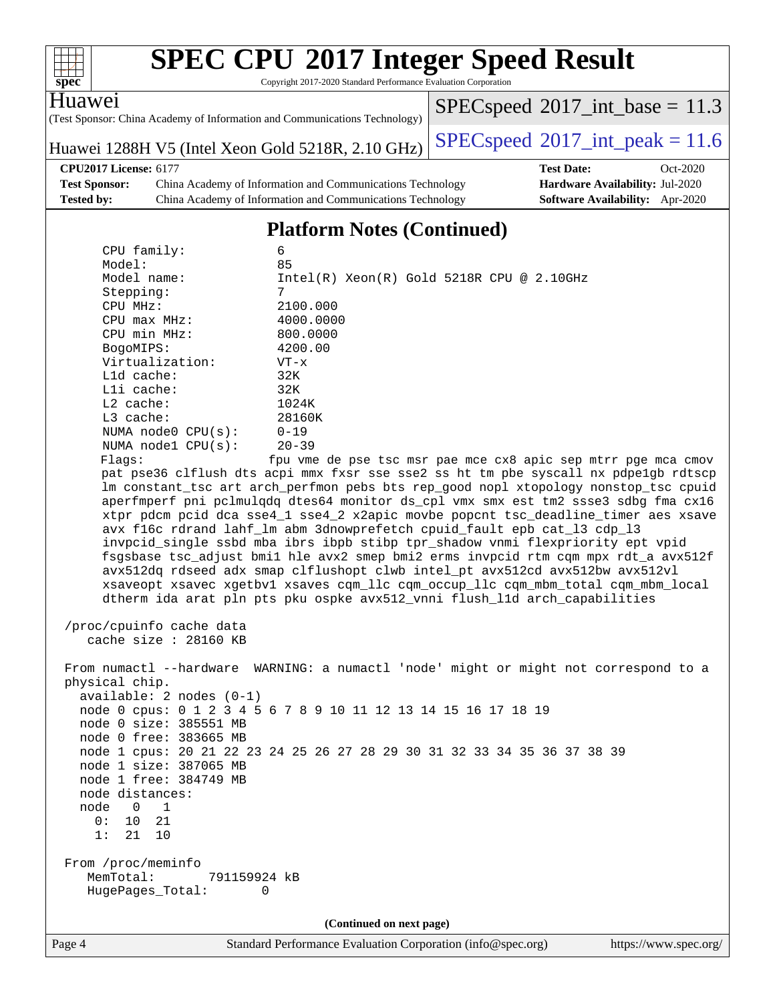| spec <sup>®</sup>                                                                                                                                                                                                                                                                                                                                                                                                                                                                                                                                                                            | <b>SPEC CPU®2017 Integer Speed Result</b><br>Copyright 2017-2020 Standard Performance Evaluation Corporation                                                                                                                                                                                                                                                                |                                                                                                                                                                                                                                                                                                                                                                                                                                                                                                                                                                                                                                                                                                                                                                                                                                                                                                                                                                                       |
|----------------------------------------------------------------------------------------------------------------------------------------------------------------------------------------------------------------------------------------------------------------------------------------------------------------------------------------------------------------------------------------------------------------------------------------------------------------------------------------------------------------------------------------------------------------------------------------------|-----------------------------------------------------------------------------------------------------------------------------------------------------------------------------------------------------------------------------------------------------------------------------------------------------------------------------------------------------------------------------|---------------------------------------------------------------------------------------------------------------------------------------------------------------------------------------------------------------------------------------------------------------------------------------------------------------------------------------------------------------------------------------------------------------------------------------------------------------------------------------------------------------------------------------------------------------------------------------------------------------------------------------------------------------------------------------------------------------------------------------------------------------------------------------------------------------------------------------------------------------------------------------------------------------------------------------------------------------------------------------|
| Huawe <sub>1</sub>                                                                                                                                                                                                                                                                                                                                                                                                                                                                                                                                                                           | (Test Sponsor: China Academy of Information and Communications Technology)                                                                                                                                                                                                                                                                                                  | $SPEC speed^{\circ}2017\_int\_base = 11.3$                                                                                                                                                                                                                                                                                                                                                                                                                                                                                                                                                                                                                                                                                                                                                                                                                                                                                                                                            |
|                                                                                                                                                                                                                                                                                                                                                                                                                                                                                                                                                                                              | Huawei 1288H V5 (Intel Xeon Gold 5218R, 2.10 GHz)                                                                                                                                                                                                                                                                                                                           | $SPEC speed^{\circ}2017\_int\_peak = 11.6$                                                                                                                                                                                                                                                                                                                                                                                                                                                                                                                                                                                                                                                                                                                                                                                                                                                                                                                                            |
| <b>CPU2017 License: 6177</b><br><b>Test Sponsor:</b><br>Tested by:                                                                                                                                                                                                                                                                                                                                                                                                                                                                                                                           | China Academy of Information and Communications Technology<br>China Academy of Information and Communications Technology                                                                                                                                                                                                                                                    | <b>Test Date:</b><br>Oct-2020<br>Hardware Availability: Jul-2020<br>Software Availability: Apr-2020                                                                                                                                                                                                                                                                                                                                                                                                                                                                                                                                                                                                                                                                                                                                                                                                                                                                                   |
|                                                                                                                                                                                                                                                                                                                                                                                                                                                                                                                                                                                              | <b>Platform Notes (Continued)</b>                                                                                                                                                                                                                                                                                                                                           |                                                                                                                                                                                                                                                                                                                                                                                                                                                                                                                                                                                                                                                                                                                                                                                                                                                                                                                                                                                       |
| CPU family:<br>Model:<br>Model name:<br>Stepping:<br>CPU MHz:<br>CPU max MHz:<br>CPU min MHz:<br>BogoMIPS:<br>Virtualization:<br>L1d cache:<br>Lli cache:<br>L2 cache:<br>L3 cache:<br>NUMA node0 CPU(s):<br>NUMA nodel CPU(s):<br>Flaqs:<br>/proc/cpuinfo cache data<br>cache size : 28160 KB<br>physical chip.<br>$available: 2 nodes (0-1)$<br>node 0 size: 385551 MB<br>node 0 free: 383665 MB<br>node 1 size: 387065 MB<br>node 1 free: 384749 MB<br>node distances:<br>node<br>$\overline{0}$<br>$\overline{1}$<br>0:<br>10<br>21<br>1:<br>21<br>10<br>From /proc/meminfo<br>MemTotal: | 6<br>85<br>7<br>2100.000<br>4000.0000<br>800.0000<br>4200.00<br>$VT - x$<br>32K<br>32K<br>1024K<br>28160K<br>$0 - 19$<br>$20 - 39$<br>avx f16c rdrand lahf_lm abm 3dnowprefetch cpuid_fault epb cat_13 cdp_13<br>node 0 cpus: 0 1 2 3 4 5 6 7 8 9 10 11 12 13 14 15 16 17 18 19<br>node 1 cpus: 20 21 22 23 24 25 26 27 28 29 30 31 32 33 34 35 36 37 38 39<br>791159924 kB | $Intel(R) Xeon(R) Gold 5218R CPU @ 2.10GHz$<br>fpu vme de pse tsc msr pae mce cx8 apic sep mtrr pge mca cmov<br>pat pse36 clflush dts acpi mmx fxsr sse sse2 ss ht tm pbe syscall nx pdpe1gb rdtscp<br>lm constant_tsc art arch_perfmon pebs bts rep_good nopl xtopology nonstop_tsc cpuid<br>aperfmperf pni pclmulqdq dtes64 monitor ds_cpl vmx smx est tm2 ssse3 sdbg fma cx16<br>xtpr pdcm pcid dca sse4_1 sse4_2 x2apic movbe popcnt tsc_deadline_timer aes xsave<br>invpcid_single ssbd mba ibrs ibpb stibp tpr_shadow vnmi flexpriority ept vpid<br>fsgsbase tsc_adjust bmil hle avx2 smep bmi2 erms invpcid rtm cqm mpx rdt_a avx512f<br>avx512dq rdseed adx smap clflushopt clwb intel_pt avx512cd avx512bw avx512vl<br>xsaveopt xsavec xgetbvl xsaves cqm_llc cqm_occup_llc cqm_mbm_total cqm_mbm_local<br>dtherm ida arat pln pts pku ospke avx512_vnni flush_lld arch_capabilities<br>From numactl --hardware WARNING: a numactl 'node' might or might not correspond to a |
| HugePages_Total:                                                                                                                                                                                                                                                                                                                                                                                                                                                                                                                                                                             | 0                                                                                                                                                                                                                                                                                                                                                                           |                                                                                                                                                                                                                                                                                                                                                                                                                                                                                                                                                                                                                                                                                                                                                                                                                                                                                                                                                                                       |
|                                                                                                                                                                                                                                                                                                                                                                                                                                                                                                                                                                                              | (Continued on next page)                                                                                                                                                                                                                                                                                                                                                    |                                                                                                                                                                                                                                                                                                                                                                                                                                                                                                                                                                                                                                                                                                                                                                                                                                                                                                                                                                                       |
| Page 4                                                                                                                                                                                                                                                                                                                                                                                                                                                                                                                                                                                       | Standard Performance Evaluation Corporation (info@spec.org)                                                                                                                                                                                                                                                                                                                 | https://www.spec.org/                                                                                                                                                                                                                                                                                                                                                                                                                                                                                                                                                                                                                                                                                                                                                                                                                                                                                                                                                                 |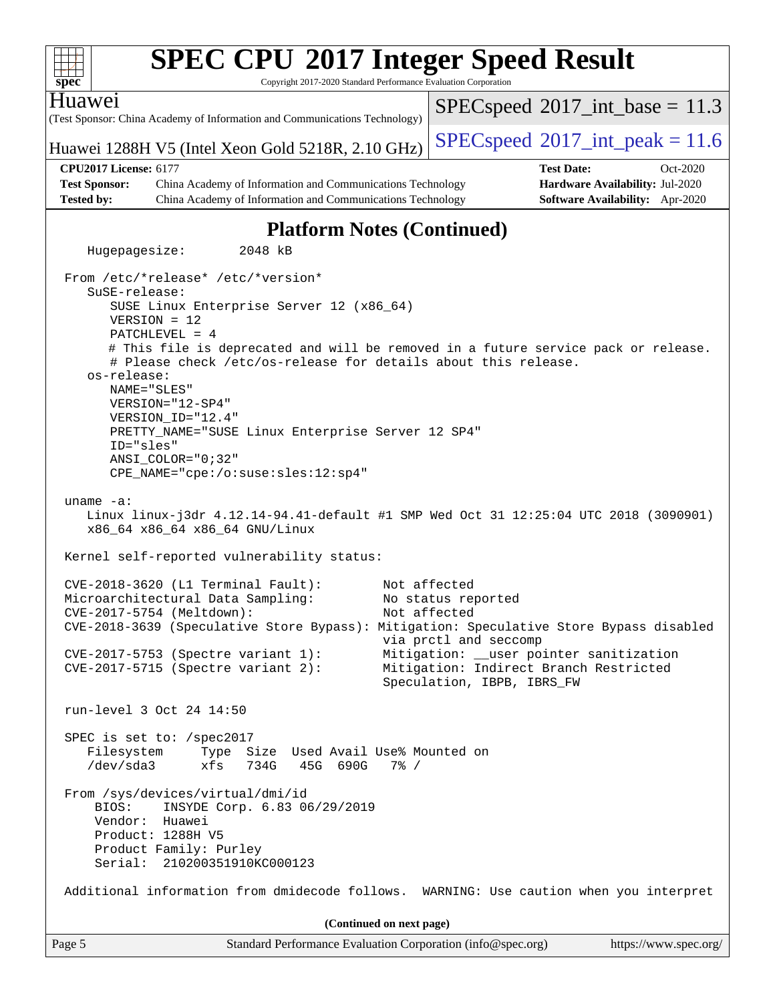| <b>SPEC CPU®2017 Integer Speed Result</b><br>Copyright 2017-2020 Standard Performance Evaluation Corporation<br>$spec^*$                                                                                                                                                                                                                                                                                                                                                                                               |                                                                                                                                                                                                |
|------------------------------------------------------------------------------------------------------------------------------------------------------------------------------------------------------------------------------------------------------------------------------------------------------------------------------------------------------------------------------------------------------------------------------------------------------------------------------------------------------------------------|------------------------------------------------------------------------------------------------------------------------------------------------------------------------------------------------|
| Huawei<br>(Test Sponsor: China Academy of Information and Communications Technology)                                                                                                                                                                                                                                                                                                                                                                                                                                   | $SPEC speed^{\circ}2017\_int\_base = 11.3$                                                                                                                                                     |
| Huawei 1288H V5 (Intel Xeon Gold 5218R, 2.10 GHz)                                                                                                                                                                                                                                                                                                                                                                                                                                                                      | $SPEC speed^{\circ}2017\_int\_peak = 11.6$                                                                                                                                                     |
| <b>CPU2017 License: 6177</b><br><b>Test Sponsor:</b><br>China Academy of Information and Communications Technology                                                                                                                                                                                                                                                                                                                                                                                                     | <b>Test Date:</b><br>Oct-2020<br>Hardware Availability: Jul-2020                                                                                                                               |
| China Academy of Information and Communications Technology<br><b>Tested by:</b>                                                                                                                                                                                                                                                                                                                                                                                                                                        | Software Availability: Apr-2020                                                                                                                                                                |
| <b>Platform Notes (Continued)</b>                                                                                                                                                                                                                                                                                                                                                                                                                                                                                      |                                                                                                                                                                                                |
| Hugepagesize:<br>2048 kB                                                                                                                                                                                                                                                                                                                                                                                                                                                                                               |                                                                                                                                                                                                |
| From /etc/*release* /etc/*version*<br>SuSE-release:<br>SUSE Linux Enterprise Server 12 (x86_64)<br>$VERSION = 12$<br>PATCHLEVEL = 4<br># This file is deprecated and will be removed in a future service pack or release.<br># Please check /etc/os-release for details about this release.<br>os-release:<br>NAME="SLES"<br>VERSION="12-SP4"<br>VERSION_ID="12.4"<br>PRETTY_NAME="SUSE Linux Enterprise Server 12 SP4"<br>ID="sles"<br>$ANSI$ _COLOR=" $0:32$ "<br>CPE_NAME="cpe:/o:suse:sles:12:sp4"<br>uname $-a$ : |                                                                                                                                                                                                |
| Linux linux-j3dr 4.12.14-94.41-default #1 SMP Wed Oct 31 12:25:04 UTC 2018 (3090901)<br>x86_64 x86_64 x86_64 GNU/Linux                                                                                                                                                                                                                                                                                                                                                                                                 |                                                                                                                                                                                                |
| Kernel self-reported vulnerability status:                                                                                                                                                                                                                                                                                                                                                                                                                                                                             |                                                                                                                                                                                                |
| CVE-2018-3620 (L1 Terminal Fault):<br>Microarchitectural Data Sampling:<br>CVE-2017-5754 (Meltdown):<br>CVE-2018-3639 (Speculative Store Bypass): Mitigation: Speculative Store Bypass disabled<br>$CVE-2017-5753$ (Spectre variant 1):<br>CVE-2017-5715 (Spectre variant 2):                                                                                                                                                                                                                                          | Not affected<br>No status reported<br>Not affected<br>via prctl and seccomp<br>Mitigation: __user pointer sanitization<br>Mitigation: Indirect Branch Restricted<br>Speculation, IBPB, IBRS_FW |
| run-level 3 Oct 24 14:50                                                                                                                                                                                                                                                                                                                                                                                                                                                                                               |                                                                                                                                                                                                |
| SPEC is set to: /spec2017<br>Filesystem<br>Type Size Used Avail Use% Mounted on<br>/dev/sda3<br>xfs<br>734G<br>45G 690G<br>$7\frac{6}{9}$ /                                                                                                                                                                                                                                                                                                                                                                            |                                                                                                                                                                                                |
| From /sys/devices/virtual/dmi/id<br>INSYDE Corp. 6.83 06/29/2019<br>BIOS:<br>Vendor:<br>Huawei<br>Product: 1288H V5<br>Product Family: Purley<br>Serial: 210200351910KC000123                                                                                                                                                                                                                                                                                                                                          |                                                                                                                                                                                                |
| Additional information from dmidecode follows. WARNING: Use caution when you interpret                                                                                                                                                                                                                                                                                                                                                                                                                                 |                                                                                                                                                                                                |
| (Continued on next page)                                                                                                                                                                                                                                                                                                                                                                                                                                                                                               |                                                                                                                                                                                                |
| Standard Performance Evaluation Corporation (info@spec.org)<br>Page 5                                                                                                                                                                                                                                                                                                                                                                                                                                                  | https://www.spec.org/                                                                                                                                                                          |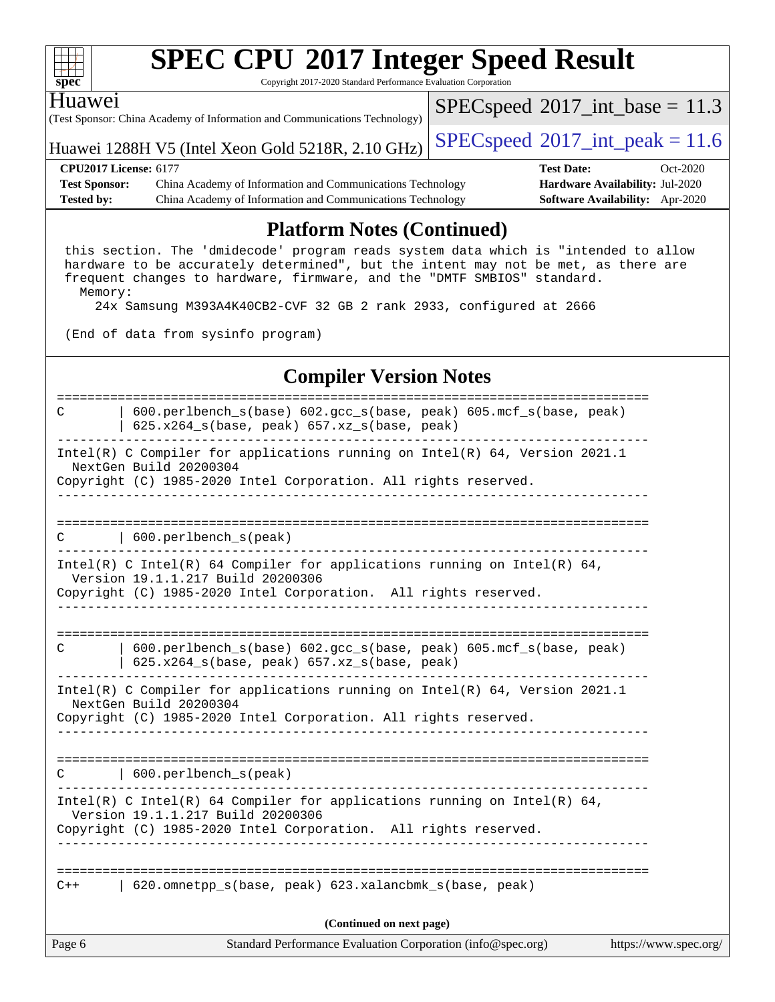| ч<br>ť<br>č |  |  |  |  |  |  |  |
|-------------|--|--|--|--|--|--|--|

Copyright 2017-2020 Standard Performance Evaluation Corporation

#### Huawei

(Test Sponsor: China Academy of Information and Communications Technology)

Huawei 1288H V5 (Intel Xeon Gold 5218R, 2.10 GHz) [SPECspeed](http://www.spec.org/auto/cpu2017/Docs/result-fields.html#SPECspeed2017intpeak)®2017\_int\_peak =  $11.6$ 

 $SPECspeed^{\circledcirc}2017\_int\_base = 11.3$  $SPECspeed^{\circledcirc}2017\_int\_base = 11.3$ 

**[Test Sponsor:](http://www.spec.org/auto/cpu2017/Docs/result-fields.html#TestSponsor)** China Academy of Information and Communications Technology **[Hardware Availability:](http://www.spec.org/auto/cpu2017/Docs/result-fields.html#HardwareAvailability)** Jul-2020 **[Tested by:](http://www.spec.org/auto/cpu2017/Docs/result-fields.html#Testedby)** China Academy of Information and Communications Technology **[Software Availability:](http://www.spec.org/auto/cpu2017/Docs/result-fields.html#SoftwareAvailability)** Apr-2020

**[CPU2017 License:](http://www.spec.org/auto/cpu2017/Docs/result-fields.html#CPU2017License)** 6177 **[Test Date:](http://www.spec.org/auto/cpu2017/Docs/result-fields.html#TestDate)** Oct-2020

### **[Platform Notes \(Continued\)](http://www.spec.org/auto/cpu2017/Docs/result-fields.html#PlatformNotes)**

 this section. The 'dmidecode' program reads system data which is "intended to allow hardware to be accurately determined", but the intent may not be met, as there are frequent changes to hardware, firmware, and the "DMTF SMBIOS" standard. Memory:

24x Samsung M393A4K40CB2-CVF 32 GB 2 rank 2933, configured at 2666

(End of data from sysinfo program)

#### **[Compiler Version Notes](http://www.spec.org/auto/cpu2017/Docs/result-fields.html#CompilerVersionNotes)**

Page 6 Standard Performance Evaluation Corporation [\(info@spec.org\)](mailto:info@spec.org) <https://www.spec.org/> ============================================================================== C | 600.perlbench\_s(base) 602.gcc\_s(base, peak) 605.mcf\_s(base, peak) | 625.x264\_s(base, peak) 657.xz\_s(base, peak) ------------------------------------------------------------------------------ Intel(R) C Compiler for applications running on Intel(R) 64, Version 2021.1 NextGen Build 20200304 Copyright (C) 1985-2020 Intel Corporation. All rights reserved. ------------------------------------------------------------------------------ ============================================================================== C | 600.perlbench\_s(peak) ------------------------------------------------------------------------------ Intel(R) C Intel(R) 64 Compiler for applications running on Intel(R) 64, Version 19.1.1.217 Build 20200306 Copyright (C) 1985-2020 Intel Corporation. All rights reserved. ------------------------------------------------------------------------------ ============================================================================== C | 600.perlbench\_s(base) 602.gcc\_s(base, peak) 605.mcf\_s(base, peak) | 625.x264\_s(base, peak) 657.xz\_s(base, peak) ------------------------------------------------------------------------------ Intel(R) C Compiler for applications running on Intel(R) 64, Version 2021.1 NextGen Build 20200304 Copyright (C) 1985-2020 Intel Corporation. All rights reserved. ------------------------------------------------------------------------------ ============================================================================== C | 600.perlbench\_s(peak) ------------------------------------------------------------------------------ Intel(R) C Intel(R) 64 Compiler for applications running on Intel(R)  $64$ , Version 19.1.1.217 Build 20200306 Copyright (C) 1985-2020 Intel Corporation. All rights reserved. ------------------------------------------------------------------------------ ============================================================================== C++ | 620.omnetpp\_s(base, peak) 623.xalancbmk\_s(base, peak) **(Continued on next page)**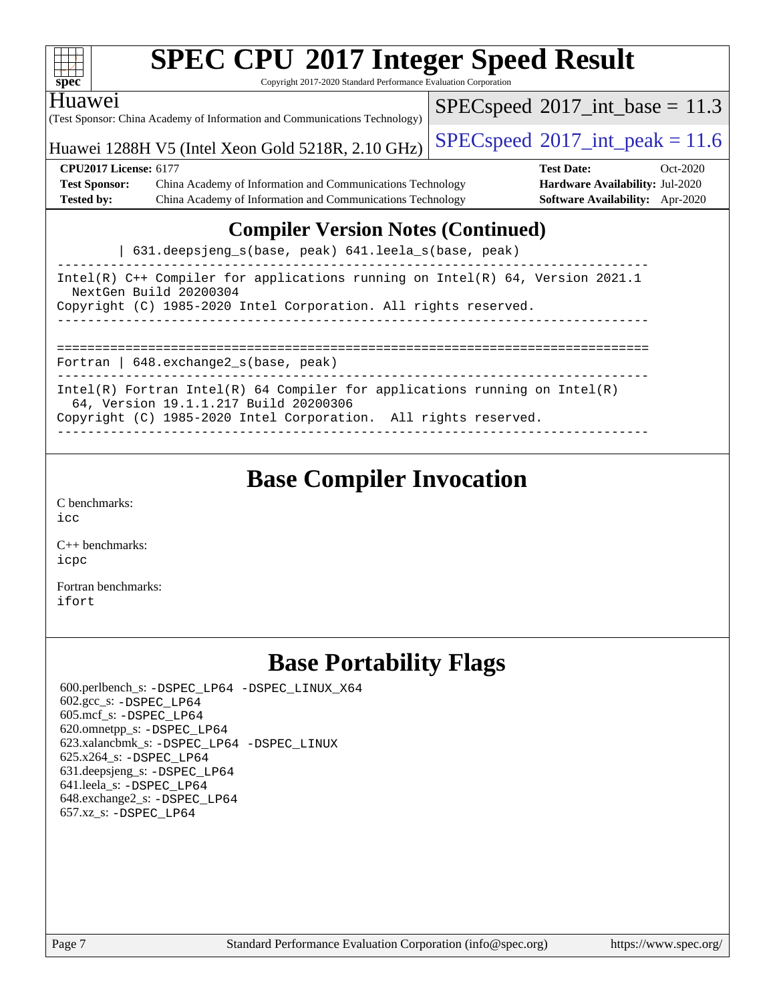| <b>SPEC CPU®2017 Integer Speed Result</b><br>$spec^*$<br>Copyright 2017-2020 Standard Performance Evaluation Corporation                                                               |                                            |                                        |            |  |  |  |
|----------------------------------------------------------------------------------------------------------------------------------------------------------------------------------------|--------------------------------------------|----------------------------------------|------------|--|--|--|
| <b>Huawei</b><br>(Test Sponsor: China Academy of Information and Communications Technology)                                                                                            | $SPEC speed^{\circ}2017\_int\_base = 11.3$ |                                        |            |  |  |  |
| Huawei 1288H V5 (Intel Xeon Gold 5218R, 2.10 GHz)                                                                                                                                      | $SPEC speed^{\circ}2017\_int\_peak = 11.6$ |                                        |            |  |  |  |
| <b>CPU2017 License: 6177</b>                                                                                                                                                           |                                            | <b>Test Date:</b>                      | $Oct-2020$ |  |  |  |
| <b>Test Sponsor:</b><br>China Academy of Information and Communications Technology                                                                                                     |                                            | <b>Hardware Availability: Jul-2020</b> |            |  |  |  |
| <b>Tested by:</b><br>China Academy of Information and Communications Technology                                                                                                        |                                            | Software Availability: Apr-2020        |            |  |  |  |
| <b>Compiler Version Notes (Continued)</b><br>631.deepsjeng_s(base, peak) 641.leela_s(base, peak)                                                                                       |                                            |                                        |            |  |  |  |
| Intel(R) C++ Compiler for applications running on Intel(R) 64, Version 2021.1<br>NextGen Build 20200304<br>Copyright (C) 1985-2020 Intel Corporation. All rights reserved.             |                                            |                                        |            |  |  |  |
| Fortran   648. exchange 2_s (base, peak)                                                                                                                                               |                                            |                                        |            |  |  |  |
| Intel(R) Fortran Intel(R) 64 Compiler for applications running on Intel(R)<br>64, Version 19.1.1.217 Build 20200306<br>Copyright (C) 1985-2020 Intel Corporation. All rights reserved. |                                            |                                        |            |  |  |  |

### **[Base Compiler Invocation](http://www.spec.org/auto/cpu2017/Docs/result-fields.html#BaseCompilerInvocation)**

[C benchmarks](http://www.spec.org/auto/cpu2017/Docs/result-fields.html#Cbenchmarks): [icc](http://www.spec.org/cpu2017/results/res2020q4/cpu2017-20201026-24249.flags.html#user_CCbase_intel_icc_66fc1ee009f7361af1fbd72ca7dcefbb700085f36577c54f309893dd4ec40d12360134090235512931783d35fd58c0460139e722d5067c5574d8eaf2b3e37e92)

[C++ benchmarks:](http://www.spec.org/auto/cpu2017/Docs/result-fields.html#CXXbenchmarks) [icpc](http://www.spec.org/cpu2017/results/res2020q4/cpu2017-20201026-24249.flags.html#user_CXXbase_intel_icpc_c510b6838c7f56d33e37e94d029a35b4a7bccf4766a728ee175e80a419847e808290a9b78be685c44ab727ea267ec2f070ec5dc83b407c0218cded6866a35d07)

[Fortran benchmarks](http://www.spec.org/auto/cpu2017/Docs/result-fields.html#Fortranbenchmarks): [ifort](http://www.spec.org/cpu2017/results/res2020q4/cpu2017-20201026-24249.flags.html#user_FCbase_intel_ifort_8111460550e3ca792625aed983ce982f94888b8b503583aa7ba2b8303487b4d8a21a13e7191a45c5fd58ff318f48f9492884d4413fa793fd88dd292cad7027ca)

### **[Base Portability Flags](http://www.spec.org/auto/cpu2017/Docs/result-fields.html#BasePortabilityFlags)**

 600.perlbench\_s: [-DSPEC\\_LP64](http://www.spec.org/cpu2017/results/res2020q4/cpu2017-20201026-24249.flags.html#b600.perlbench_s_basePORTABILITY_DSPEC_LP64) [-DSPEC\\_LINUX\\_X64](http://www.spec.org/cpu2017/results/res2020q4/cpu2017-20201026-24249.flags.html#b600.perlbench_s_baseCPORTABILITY_DSPEC_LINUX_X64) 602.gcc\_s: [-DSPEC\\_LP64](http://www.spec.org/cpu2017/results/res2020q4/cpu2017-20201026-24249.flags.html#suite_basePORTABILITY602_gcc_s_DSPEC_LP64) 605.mcf\_s: [-DSPEC\\_LP64](http://www.spec.org/cpu2017/results/res2020q4/cpu2017-20201026-24249.flags.html#suite_basePORTABILITY605_mcf_s_DSPEC_LP64) 620.omnetpp\_s: [-DSPEC\\_LP64](http://www.spec.org/cpu2017/results/res2020q4/cpu2017-20201026-24249.flags.html#suite_basePORTABILITY620_omnetpp_s_DSPEC_LP64) 623.xalancbmk\_s: [-DSPEC\\_LP64](http://www.spec.org/cpu2017/results/res2020q4/cpu2017-20201026-24249.flags.html#suite_basePORTABILITY623_xalancbmk_s_DSPEC_LP64) [-DSPEC\\_LINUX](http://www.spec.org/cpu2017/results/res2020q4/cpu2017-20201026-24249.flags.html#b623.xalancbmk_s_baseCXXPORTABILITY_DSPEC_LINUX) 625.x264\_s: [-DSPEC\\_LP64](http://www.spec.org/cpu2017/results/res2020q4/cpu2017-20201026-24249.flags.html#suite_basePORTABILITY625_x264_s_DSPEC_LP64) 631.deepsjeng\_s: [-DSPEC\\_LP64](http://www.spec.org/cpu2017/results/res2020q4/cpu2017-20201026-24249.flags.html#suite_basePORTABILITY631_deepsjeng_s_DSPEC_LP64) 641.leela\_s: [-DSPEC\\_LP64](http://www.spec.org/cpu2017/results/res2020q4/cpu2017-20201026-24249.flags.html#suite_basePORTABILITY641_leela_s_DSPEC_LP64) 648.exchange2\_s: [-DSPEC\\_LP64](http://www.spec.org/cpu2017/results/res2020q4/cpu2017-20201026-24249.flags.html#suite_basePORTABILITY648_exchange2_s_DSPEC_LP64) 657.xz\_s: [-DSPEC\\_LP64](http://www.spec.org/cpu2017/results/res2020q4/cpu2017-20201026-24249.flags.html#suite_basePORTABILITY657_xz_s_DSPEC_LP64)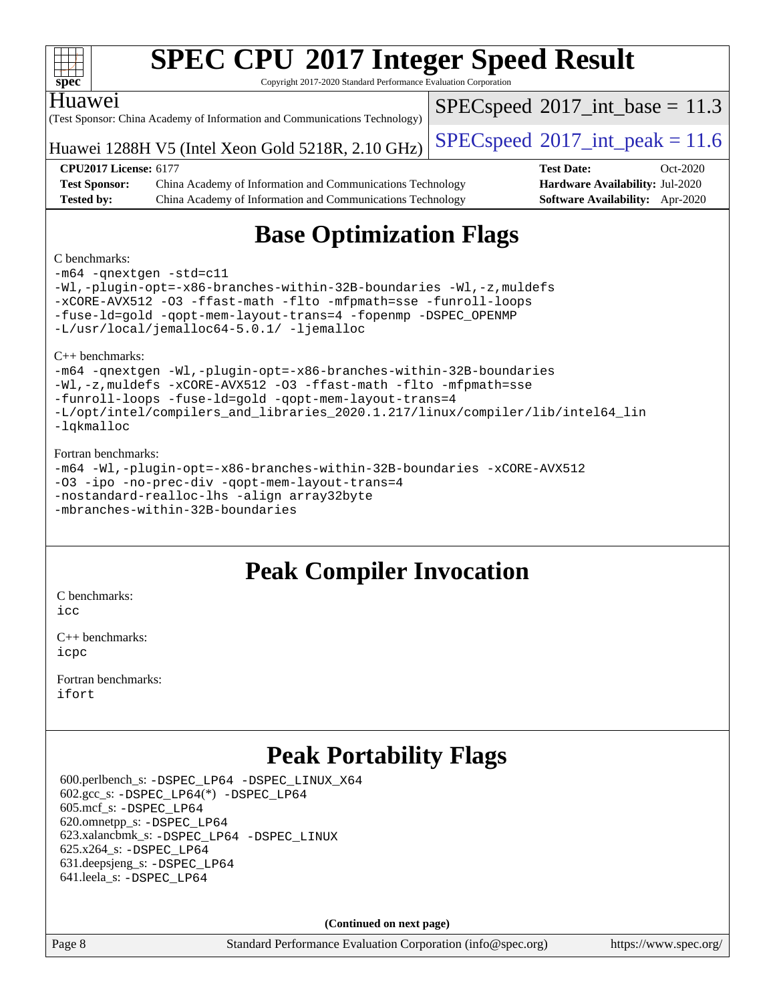| spec                                                                                            | <b>SPEC CPU®2017 Integer Speed Result</b><br>Copyright 2017-2020 Standard Performance Evaluation Corporation |                                            |                                        |            |  |
|-------------------------------------------------------------------------------------------------|--------------------------------------------------------------------------------------------------------------|--------------------------------------------|----------------------------------------|------------|--|
| <b>Huawei</b>                                                                                   | (Test Sponsor: China Academy of Information and Communications Technology)                                   | $SPEC speed^{\circ}2017\_int\_base = 11.3$ |                                        |            |  |
| $SPEC speed^{\circ}2017\_int\_peak = 11.6$<br>Huawei 1288H V5 (Intel Xeon Gold 5218R, 2.10 GHz) |                                                                                                              |                                            |                                        |            |  |
|                                                                                                 | <b>CPU2017 License: 6177</b>                                                                                 |                                            | <b>Test Date:</b>                      | $Oct-2020$ |  |
| <b>Test Sponsor:</b>                                                                            | China Academy of Information and Communications Technology                                                   |                                            | Hardware Availability: Jul-2020        |            |  |
| <b>Tested by:</b>                                                                               | China Academy of Information and Communications Technology                                                   |                                            | <b>Software Availability:</b> Apr-2020 |            |  |
| C benchmarks:                                                                                   | <b>Base Optimization Flags</b>                                                                               |                                            |                                        |            |  |

[-m64](http://www.spec.org/cpu2017/results/res2020q4/cpu2017-20201026-24249.flags.html#user_CCbase_m64-icc) [-qnextgen](http://www.spec.org/cpu2017/results/res2020q4/cpu2017-20201026-24249.flags.html#user_CCbase_f-qnextgen) [-std=c11](http://www.spec.org/cpu2017/results/res2020q4/cpu2017-20201026-24249.flags.html#user_CCbase_std-icc-std_0e1c27790398a4642dfca32ffe6c27b5796f9c2d2676156f2e42c9c44eaad0c049b1cdb667a270c34d979996257aeb8fc440bfb01818dbc9357bd9d174cb8524) [-Wl,-plugin-opt=-x86-branches-within-32B-boundaries](http://www.spec.org/cpu2017/results/res2020q4/cpu2017-20201026-24249.flags.html#user_CCbase_f-x86-branches-within-32B-boundaries_0098b4e4317ae60947b7b728078a624952a08ac37a3c797dfb4ffeb399e0c61a9dd0f2f44ce917e9361fb9076ccb15e7824594512dd315205382d84209e912f3) [-Wl,-z,muldefs](http://www.spec.org/cpu2017/results/res2020q4/cpu2017-20201026-24249.flags.html#user_CCbase_link_force_multiple1_b4cbdb97b34bdee9ceefcfe54f4c8ea74255f0b02a4b23e853cdb0e18eb4525ac79b5a88067c842dd0ee6996c24547a27a4b99331201badda8798ef8a743f577) [-xCORE-AVX512](http://www.spec.org/cpu2017/results/res2020q4/cpu2017-20201026-24249.flags.html#user_CCbase_f-xCORE-AVX512) [-O3](http://www.spec.org/cpu2017/results/res2020q4/cpu2017-20201026-24249.flags.html#user_CCbase_f-O3) [-ffast-math](http://www.spec.org/cpu2017/results/res2020q4/cpu2017-20201026-24249.flags.html#user_CCbase_f-ffast-math) [-flto](http://www.spec.org/cpu2017/results/res2020q4/cpu2017-20201026-24249.flags.html#user_CCbase_f-flto) [-mfpmath=sse](http://www.spec.org/cpu2017/results/res2020q4/cpu2017-20201026-24249.flags.html#user_CCbase_f-mfpmath_70eb8fac26bde974f8ab713bc9086c5621c0b8d2f6c86f38af0bd7062540daf19db5f3a066d8c6684be05d84c9b6322eb3b5be6619d967835195b93d6c02afa1) [-funroll-loops](http://www.spec.org/cpu2017/results/res2020q4/cpu2017-20201026-24249.flags.html#user_CCbase_f-funroll-loops) [-fuse-ld=gold](http://www.spec.org/cpu2017/results/res2020q4/cpu2017-20201026-24249.flags.html#user_CCbase_f-fuse-ld_920b3586e2b8c6e0748b9c84fa9b744736ba725a32cab14ad8f3d4ad28eecb2f59d1144823d2e17006539a88734fe1fc08fc3035f7676166309105a78aaabc32) [-qopt-mem-layout-trans=4](http://www.spec.org/cpu2017/results/res2020q4/cpu2017-20201026-24249.flags.html#user_CCbase_f-qopt-mem-layout-trans_fa39e755916c150a61361b7846f310bcdf6f04e385ef281cadf3647acec3f0ae266d1a1d22d972a7087a248fd4e6ca390a3634700869573d231a252c784941a8) [-fopenmp](http://www.spec.org/cpu2017/results/res2020q4/cpu2017-20201026-24249.flags.html#user_CCbase_fopenmp_5aa2e47ce4f2ef030ba5d12d5a7a9c4e57167333d78243fcadb80b48d5abb78ff19333f8478e0b2a41e63049eb285965c145ccab7b93db7d0c4d59e4dc6f5591) [-DSPEC\\_OPENMP](http://www.spec.org/cpu2017/results/res2020q4/cpu2017-20201026-24249.flags.html#suite_CCbase_DSPEC_OPENMP) [-L/usr/local/jemalloc64-5.0.1/](http://www.spec.org/cpu2017/results/res2020q4/cpu2017-20201026-24249.flags.html#user_CCbase_jemalloc_link_path64_1_7ef78e948e26f16679f66279b8b3f63c04c9803b9e8787420a99cca8bda14a41adf28ce5417d152fa73cc6ac5779a3e22f3d8249efa1649e07fa83494079cd98) [-ljemalloc](http://www.spec.org/cpu2017/results/res2020q4/cpu2017-20201026-24249.flags.html#user_CCbase_jemalloc_link_lib_d1249b907c500fa1c0672f44f562e3d0f79738ae9e3c4a9c376d49f265a04b9c99b167ecedbf6711b3085be911c67ff61f150a17b3472be731631ba4d0471706)

[C++ benchmarks](http://www.spec.org/auto/cpu2017/Docs/result-fields.html#CXXbenchmarks):

[-m64](http://www.spec.org/cpu2017/results/res2020q4/cpu2017-20201026-24249.flags.html#user_CXXbase_m64-icc) [-qnextgen](http://www.spec.org/cpu2017/results/res2020q4/cpu2017-20201026-24249.flags.html#user_CXXbase_f-qnextgen) [-Wl,-plugin-opt=-x86-branches-within-32B-boundaries](http://www.spec.org/cpu2017/results/res2020q4/cpu2017-20201026-24249.flags.html#user_CXXbase_f-x86-branches-within-32B-boundaries_0098b4e4317ae60947b7b728078a624952a08ac37a3c797dfb4ffeb399e0c61a9dd0f2f44ce917e9361fb9076ccb15e7824594512dd315205382d84209e912f3) [-Wl,-z,muldefs](http://www.spec.org/cpu2017/results/res2020q4/cpu2017-20201026-24249.flags.html#user_CXXbase_link_force_multiple1_b4cbdb97b34bdee9ceefcfe54f4c8ea74255f0b02a4b23e853cdb0e18eb4525ac79b5a88067c842dd0ee6996c24547a27a4b99331201badda8798ef8a743f577) [-xCORE-AVX512](http://www.spec.org/cpu2017/results/res2020q4/cpu2017-20201026-24249.flags.html#user_CXXbase_f-xCORE-AVX512) [-O3](http://www.spec.org/cpu2017/results/res2020q4/cpu2017-20201026-24249.flags.html#user_CXXbase_f-O3) [-ffast-math](http://www.spec.org/cpu2017/results/res2020q4/cpu2017-20201026-24249.flags.html#user_CXXbase_f-ffast-math) [-flto](http://www.spec.org/cpu2017/results/res2020q4/cpu2017-20201026-24249.flags.html#user_CXXbase_f-flto) [-mfpmath=sse](http://www.spec.org/cpu2017/results/res2020q4/cpu2017-20201026-24249.flags.html#user_CXXbase_f-mfpmath_70eb8fac26bde974f8ab713bc9086c5621c0b8d2f6c86f38af0bd7062540daf19db5f3a066d8c6684be05d84c9b6322eb3b5be6619d967835195b93d6c02afa1) [-funroll-loops](http://www.spec.org/cpu2017/results/res2020q4/cpu2017-20201026-24249.flags.html#user_CXXbase_f-funroll-loops) [-fuse-ld=gold](http://www.spec.org/cpu2017/results/res2020q4/cpu2017-20201026-24249.flags.html#user_CXXbase_f-fuse-ld_920b3586e2b8c6e0748b9c84fa9b744736ba725a32cab14ad8f3d4ad28eecb2f59d1144823d2e17006539a88734fe1fc08fc3035f7676166309105a78aaabc32) [-qopt-mem-layout-trans=4](http://www.spec.org/cpu2017/results/res2020q4/cpu2017-20201026-24249.flags.html#user_CXXbase_f-qopt-mem-layout-trans_fa39e755916c150a61361b7846f310bcdf6f04e385ef281cadf3647acec3f0ae266d1a1d22d972a7087a248fd4e6ca390a3634700869573d231a252c784941a8) [-L/opt/intel/compilers\\_and\\_libraries\\_2020.1.217/linux/compiler/lib/intel64\\_lin](http://www.spec.org/cpu2017/results/res2020q4/cpu2017-20201026-24249.flags.html#user_CXXbase_linkpath_57509d35624eba098eea36fbb56f49cc34a0b9ddc7c2cb8d353196fad1bb407d9701613333817233d0b91533f8d621e799f46d56eb6ab807a2c91bcd6c4cd0df) [-lqkmalloc](http://www.spec.org/cpu2017/results/res2020q4/cpu2017-20201026-24249.flags.html#user_CXXbase_qkmalloc_link_lib_79a818439969f771c6bc311cfd333c00fc099dad35c030f5aab9dda831713d2015205805422f83de8875488a2991c0a156aaa600e1f9138f8fc37004abc96dc5)

#### [Fortran benchmarks:](http://www.spec.org/auto/cpu2017/Docs/result-fields.html#Fortranbenchmarks)

[-m64](http://www.spec.org/cpu2017/results/res2020q4/cpu2017-20201026-24249.flags.html#user_FCbase_m64-icc) [-Wl,-plugin-opt=-x86-branches-within-32B-boundaries](http://www.spec.org/cpu2017/results/res2020q4/cpu2017-20201026-24249.flags.html#user_FCbase_f-x86-branches-within-32B-boundaries_0098b4e4317ae60947b7b728078a624952a08ac37a3c797dfb4ffeb399e0c61a9dd0f2f44ce917e9361fb9076ccb15e7824594512dd315205382d84209e912f3) [-xCORE-AVX512](http://www.spec.org/cpu2017/results/res2020q4/cpu2017-20201026-24249.flags.html#user_FCbase_f-xCORE-AVX512) [-O3](http://www.spec.org/cpu2017/results/res2020q4/cpu2017-20201026-24249.flags.html#user_FCbase_f-O3) [-ipo](http://www.spec.org/cpu2017/results/res2020q4/cpu2017-20201026-24249.flags.html#user_FCbase_f-ipo) [-no-prec-div](http://www.spec.org/cpu2017/results/res2020q4/cpu2017-20201026-24249.flags.html#user_FCbase_f-no-prec-div) [-qopt-mem-layout-trans=4](http://www.spec.org/cpu2017/results/res2020q4/cpu2017-20201026-24249.flags.html#user_FCbase_f-qopt-mem-layout-trans_fa39e755916c150a61361b7846f310bcdf6f04e385ef281cadf3647acec3f0ae266d1a1d22d972a7087a248fd4e6ca390a3634700869573d231a252c784941a8) [-nostandard-realloc-lhs](http://www.spec.org/cpu2017/results/res2020q4/cpu2017-20201026-24249.flags.html#user_FCbase_f_2003_std_realloc_82b4557e90729c0f113870c07e44d33d6f5a304b4f63d4c15d2d0f1fab99f5daaed73bdb9275d9ae411527f28b936061aa8b9c8f2d63842963b95c9dd6426b8a) [-align array32byte](http://www.spec.org/cpu2017/results/res2020q4/cpu2017-20201026-24249.flags.html#user_FCbase_align_array32byte_b982fe038af199962ba9a80c053b8342c548c85b40b8e86eb3cc33dee0d7986a4af373ac2d51c3f7cf710a18d62fdce2948f201cd044323541f22fc0fffc51b6) [-mbranches-within-32B-boundaries](http://www.spec.org/cpu2017/results/res2020q4/cpu2017-20201026-24249.flags.html#user_FCbase_f-mbranches-within-32B-boundaries)

### **[Peak Compiler Invocation](http://www.spec.org/auto/cpu2017/Docs/result-fields.html#PeakCompilerInvocation)**

[C benchmarks](http://www.spec.org/auto/cpu2017/Docs/result-fields.html#Cbenchmarks):

[icc](http://www.spec.org/cpu2017/results/res2020q4/cpu2017-20201026-24249.flags.html#user_CCpeak_intel_icc_66fc1ee009f7361af1fbd72ca7dcefbb700085f36577c54f309893dd4ec40d12360134090235512931783d35fd58c0460139e722d5067c5574d8eaf2b3e37e92)

[C++ benchmarks:](http://www.spec.org/auto/cpu2017/Docs/result-fields.html#CXXbenchmarks) [icpc](http://www.spec.org/cpu2017/results/res2020q4/cpu2017-20201026-24249.flags.html#user_CXXpeak_intel_icpc_c510b6838c7f56d33e37e94d029a35b4a7bccf4766a728ee175e80a419847e808290a9b78be685c44ab727ea267ec2f070ec5dc83b407c0218cded6866a35d07)

[Fortran benchmarks](http://www.spec.org/auto/cpu2017/Docs/result-fields.html#Fortranbenchmarks): [ifort](http://www.spec.org/cpu2017/results/res2020q4/cpu2017-20201026-24249.flags.html#user_FCpeak_intel_ifort_8111460550e3ca792625aed983ce982f94888b8b503583aa7ba2b8303487b4d8a21a13e7191a45c5fd58ff318f48f9492884d4413fa793fd88dd292cad7027ca)

### **[Peak Portability Flags](http://www.spec.org/auto/cpu2017/Docs/result-fields.html#PeakPortabilityFlags)**

 600.perlbench\_s: [-DSPEC\\_LP64](http://www.spec.org/cpu2017/results/res2020q4/cpu2017-20201026-24249.flags.html#b600.perlbench_s_peakPORTABILITY_DSPEC_LP64) [-DSPEC\\_LINUX\\_X64](http://www.spec.org/cpu2017/results/res2020q4/cpu2017-20201026-24249.flags.html#b600.perlbench_s_peakCPORTABILITY_DSPEC_LINUX_X64)  $602.\text{gcc}\$ :  $-DSPEC\_LP64(*) -DSPEC\_LP64$  605.mcf\_s: [-DSPEC\\_LP64](http://www.spec.org/cpu2017/results/res2020q4/cpu2017-20201026-24249.flags.html#suite_peakPORTABILITY605_mcf_s_DSPEC_LP64) 620.omnetpp\_s: [-DSPEC\\_LP64](http://www.spec.org/cpu2017/results/res2020q4/cpu2017-20201026-24249.flags.html#suite_peakPORTABILITY620_omnetpp_s_DSPEC_LP64) 623.xalancbmk\_s: [-DSPEC\\_LP64](http://www.spec.org/cpu2017/results/res2020q4/cpu2017-20201026-24249.flags.html#suite_peakPORTABILITY623_xalancbmk_s_DSPEC_LP64) [-DSPEC\\_LINUX](http://www.spec.org/cpu2017/results/res2020q4/cpu2017-20201026-24249.flags.html#b623.xalancbmk_s_peakCXXPORTABILITY_DSPEC_LINUX) 625.x264\_s: [-DSPEC\\_LP64](http://www.spec.org/cpu2017/results/res2020q4/cpu2017-20201026-24249.flags.html#suite_peakPORTABILITY625_x264_s_DSPEC_LP64) 631.deepsjeng\_s: [-DSPEC\\_LP64](http://www.spec.org/cpu2017/results/res2020q4/cpu2017-20201026-24249.flags.html#suite_peakPORTABILITY631_deepsjeng_s_DSPEC_LP64) 641.leela\_s: [-DSPEC\\_LP64](http://www.spec.org/cpu2017/results/res2020q4/cpu2017-20201026-24249.flags.html#suite_peakPORTABILITY641_leela_s_DSPEC_LP64)

**(Continued on next page)**

Page 8 Standard Performance Evaluation Corporation [\(info@spec.org\)](mailto:info@spec.org) <https://www.spec.org/>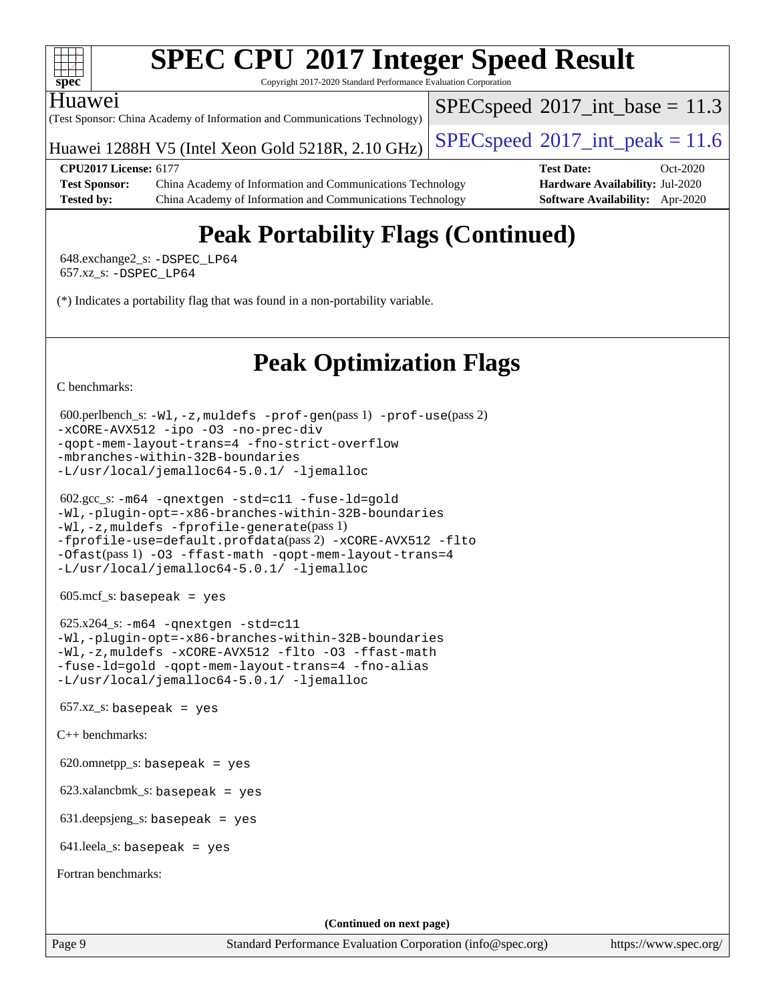

Copyright 2017-2020 Standard Performance Evaluation Corporation

#### Huawei

(Test Sponsor: China Academy of Information and Communications Technology)

Huawei 1288H V5 (Intel Xeon Gold 5218R, 2.10 GHz)  $\left|$  [SPECspeed](http://www.spec.org/auto/cpu2017/Docs/result-fields.html#SPECspeed2017intpeak)®[2017\\_int\\_peak = 1](http://www.spec.org/auto/cpu2017/Docs/result-fields.html#SPECspeed2017intpeak)1.6

 $SPECspeed^{\circ}2017\_int\_base = 11.3$  $SPECspeed^{\circ}2017\_int\_base = 11.3$ 

**[CPU2017 License:](http://www.spec.org/auto/cpu2017/Docs/result-fields.html#CPU2017License)** 6177 **[Test Date:](http://www.spec.org/auto/cpu2017/Docs/result-fields.html#TestDate)** Oct-2020 **[Test Sponsor:](http://www.spec.org/auto/cpu2017/Docs/result-fields.html#TestSponsor)** China Academy of Information and Communications Technology **[Hardware Availability:](http://www.spec.org/auto/cpu2017/Docs/result-fields.html#HardwareAvailability)** Jul-2020 **[Tested by:](http://www.spec.org/auto/cpu2017/Docs/result-fields.html#Testedby)** China Academy of Information and Communications Technology **[Software Availability:](http://www.spec.org/auto/cpu2017/Docs/result-fields.html#SoftwareAvailability)** Apr-2020

# **[Peak Portability Flags \(Continued\)](http://www.spec.org/auto/cpu2017/Docs/result-fields.html#PeakPortabilityFlags)**

 648.exchange2\_s: [-DSPEC\\_LP64](http://www.spec.org/cpu2017/results/res2020q4/cpu2017-20201026-24249.flags.html#suite_peakPORTABILITY648_exchange2_s_DSPEC_LP64) 657.xz\_s: [-DSPEC\\_LP64](http://www.spec.org/cpu2017/results/res2020q4/cpu2017-20201026-24249.flags.html#suite_peakPORTABILITY657_xz_s_DSPEC_LP64)

(\*) Indicates a portability flag that was found in a non-portability variable.

## **[Peak Optimization Flags](http://www.spec.org/auto/cpu2017/Docs/result-fields.html#PeakOptimizationFlags)**

[C benchmarks](http://www.spec.org/auto/cpu2017/Docs/result-fields.html#Cbenchmarks):

```
 600.perlbench_s: -Wl,-z,muldefs -prof-gen(pass 1) -prof-use(pass 2)
-xCORE-AVX512 -ipo -O3 -no-prec-div
-qopt-mem-layout-trans=4 -fno-strict-overflow
-mbranches-within-32B-boundaries
-L/usr/local/jemalloc64-5.0.1/ -ljemalloc
```

```
 602.gcc_s: -m64 -qnextgen -std=c11 -fuse-ld=gold
-Wl,-plugin-opt=-x86-branches-within-32B-boundaries
-Wl,-z,muldefs -fprofile-generate(pass 1)
-fprofile-use=default.profdata(pass 2) -xCORE-AVX512 -flto
-Ofast(pass 1) -O3 -ffast-math -qopt-mem-layout-trans=4
-L/usr/local/jemalloc64-5.0.1/ -ljemalloc
```
605.mcf\_s: basepeak = yes

```
 625.x264_s: -m64 -qnextgen -std=c11
-Wl,-plugin-opt=-x86-branches-within-32B-boundaries
-Wl,-z,muldefs -xCORE-AVX512 -flto -O3 -ffast-math
-fuse-ld=gold -qopt-mem-layout-trans=4 -fno-alias
-L/usr/local/jemalloc64-5.0.1/ -ljemalloc
```
 $657.xz$ \_s: basepeak = yes

[C++ benchmarks:](http://www.spec.org/auto/cpu2017/Docs/result-fields.html#CXXbenchmarks)

620.omnetpp\_s: basepeak = yes

623.xalancbmk\_s: basepeak = yes

631.deepsjeng\_s: basepeak = yes

641.leela\_s: basepeak = yes

[Fortran benchmarks](http://www.spec.org/auto/cpu2017/Docs/result-fields.html#Fortranbenchmarks):

**(Continued on next page)**